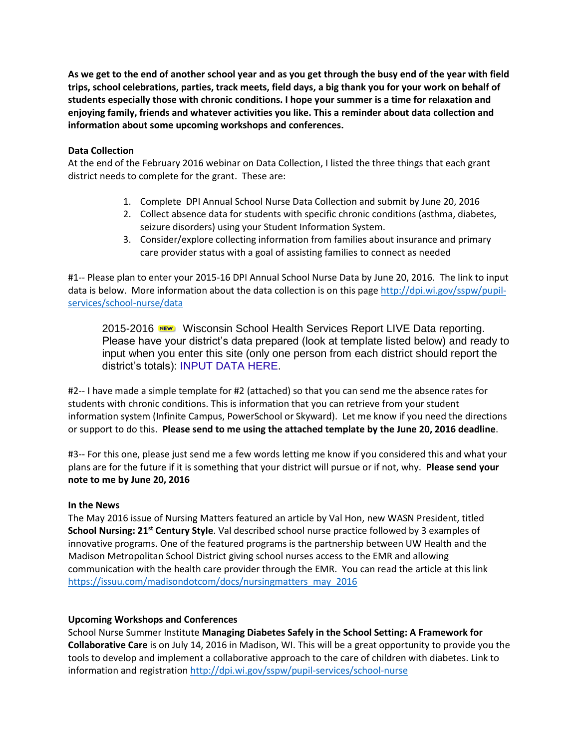**As we get to the end of another school year and as you get through the busy end of the year with field trips, school celebrations, parties, track meets, field days, a big thank you for your work on behalf of students especially those with chronic conditions. I hope your summer is a time for relaxation and enjoying family, friends and whatever activities you like. This a reminder about data collection and information about some upcoming workshops and conferences.**

### **Data Collection**

At the end of the February 2016 webinar on Data Collection, I listed the three things that each grant district needs to complete for the grant. These are:

- 1. Complete DPI Annual School Nurse Data Collection and submit by June 20, 2016
- 2. Collect absence data for students with specific chronic conditions (asthma, diabetes, seizure disorders) using your Student Information System.
- 3. Consider/explore collecting information from families about insurance and primary care provider status with a goal of assisting families to connect as needed

#1-- Please plan to enter your 2015-16 DPI Annual School Nurse Data by June 20, 2016. The link to input data is below. More information about the data collection is on this pag[e http://dpi.wi.gov/sspw/pupil](http://dpi.wi.gov/sspw/pupil-services/school-nurse/data)[services/school-nurse/data](http://dpi.wi.gov/sspw/pupil-services/school-nurse/data)

2015-2016 NEW Wisconsin School Health Services Report LIVE Data reporting. Please have your district's data prepared (look at template listed below) and ready to input when you enter this site (only one person from each district should report the district's totals): [INPUT DATA HERE.](https://forms.dpi.wi.gov/se.ashx?s=56301B2D1F07D1C5)

#2-- I have made a simple template for #2 (attached) so that you can send me the absence rates for students with chronic conditions. This is information that you can retrieve from your student information system (Infinite Campus, PowerSchool or Skyward). Let me know if you need the directions or support to do this. **Please send to me using the attached template by the June 20, 2016 deadline**.

#3-- For this one, please just send me a few words letting me know if you considered this and what your plans are for the future if it is something that your district will pursue or if not, why. **Please send your note to me by June 20, 2016**

#### **In the News**

The May 2016 issue of Nursing Matters featured an article by Val Hon, new WASN President, titled **School Nursing: 21st Century Style**. Val described school nurse practice followed by 3 examples of innovative programs. One of the featured programs is the partnership between UW Health and the Madison Metropolitan School District giving school nurses access to the EMR and allowing communication with the health care provider through the EMR. You can read the article at this link [https://issuu.com/madisondotcom/docs/nursingmatters\\_may\\_2016](https://issuu.com/madisondotcom/docs/nursingmatters_may_2016)

#### **Upcoming Workshops and Conferences**

School Nurse Summer Institute **Managing Diabetes Safely in the School Setting: A Framework for Collaborative Care** is on July 14, 2016 in Madison, WI. This will be a great opportunity to provide you the tools to develop and implement a collaborative approach to the care of children with diabetes. Link to information and registration<http://dpi.wi.gov/sspw/pupil-services/school-nurse>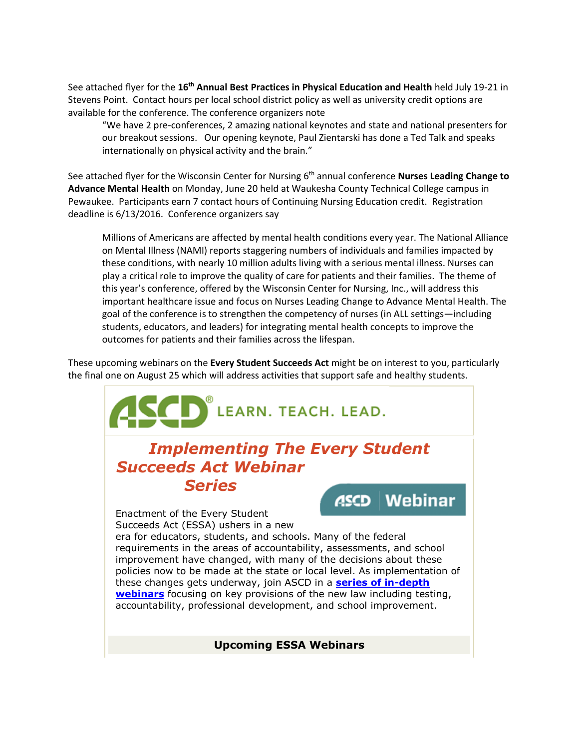See attached flyer for the **16th Annual Best Practices in Physical Education and Health** held July 19-21 in Stevens Point. Contact hours per local school district policy as well as university credit options are available for the conference. The conference organizers note

"We have 2 pre-conferences, 2 amazing national keynotes and state and national presenters for our breakout sessions. Our opening keynote, Paul Zientarski has done a Ted Talk and speaks internationally on physical activity and the brain."

See attached flyer for the Wisconsin Center for Nursing 6<sup>th</sup> annual conference **Nurses Leading Change to Advance Mental Health** on Monday, June 20 held at Waukesha County Technical College campus in Pewaukee. Participants earn 7 contact hours of Continuing Nursing Education credit. Registration deadline is 6/13/2016. Conference organizers say

Millions of Americans are affected by mental health conditions every year. The National Alliance on Mental Illness (NAMI) reports staggering numbers of individuals and families impacted by these conditions, with nearly 10 million adults living with a serious mental illness. Nurses can play a critical role to improve the quality of care for patients and their families. The theme of this year's conference, offered by the Wisconsin Center for Nursing, Inc., will address this important healthcare issue and focus on Nurses Leading Change to Advance Mental Health. The goal of the conference is to strengthen the competency of nurses (in ALL settings—including students, educators, and leaders) for integrating mental health concepts to improve the outcomes for patients and their families across the lifespan.

These upcoming webinars on the **Every Student Succeeds Act** might be on interest to you, particularly the final one on August 25 which will address activities that support safe and healthy students.